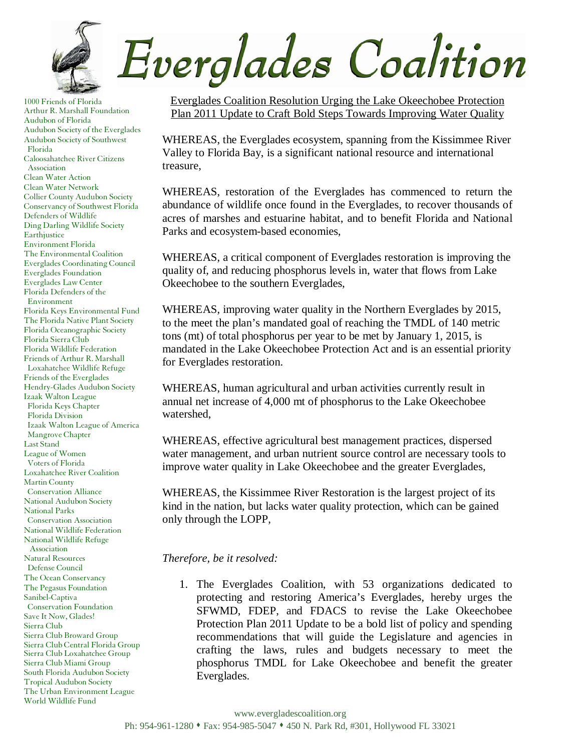

1000 Friends of Florida Arthur R. Marshall Foundation Audubon of Florida Audubon Society of the Everglades Audubon Society of Southwest Florida Caloosahatchee River Citizens Association Clean Water Action Clean Water Network Collier County Audubon Society Conservancy of Southwest Florida Defenders of Wildlife Ding Darling Wildlife Society Earthjustice Environment Florida The Environmental Coalition Everglades Coordinating Council Everglades Foundation Everglades Law Center Florida Defenders of the Environment Florida Keys Environmental Fund The Florida Native Plant Society Florida Oceanographic Society Florida Sierra Club Florida Wildlife Federation Friends of Arthur R. Marshall Loxahatchee Wildlife Refuge Friends of the Everglades Hendry-Glades Audubon Society Izaak Walton League Florida Keys Chapter Florida Division Izaak Walton League of America Mangrove Chapter Last Stand League of Women Voters of Florida Loxahatchee River Coalition Martin County Conservation Alliance National Audubon Society National Parks Conservation Association National Wildlife Federation National Wildlife Refuge Association Natural Resources Defense Council The Ocean Conservancy The Pegasus Foundation Sanibel-Captiva Conservation Foundation Save It Now, Glades! Sierra Club Sierra Club Broward Group Sierra Club Central Florida Group Sierra Club Loxahatchee Group Sierra Club Miami Group South Florida Audubon Society Tropical Audubon Society The Urban Environment League World Wildlife Fund

Everglades Coalition Resolution Urging the Lake Okeechobee Protection Plan 2011 Update to Craft Bold Steps Towards Improving Water Quality

WHEREAS, the Everglades ecosystem, spanning from the Kissimmee River Valley to Florida Bay, is a significant national resource and international treasure,

WHEREAS, restoration of the Everglades has commenced to return the abundance of wildlife once found in the Everglades, to recover thousands of acres of marshes and estuarine habitat, and to benefit Florida and National Parks and ecosystem-based economies,

WHEREAS, a critical component of Everglades restoration is improving the quality of, and reducing phosphorus levels in, water that flows from Lake Okeechobee to the southern Everglades,

WHEREAS, improving water quality in the Northern Everglades by 2015, to the meet the plan's mandated goal of reaching the TMDL of 140 metric tons (mt) of total phosphorus per year to be met by January 1, 2015, is mandated in the Lake Okeechobee Protection Act and is an essential priority for Everglades restoration.

WHEREAS, human agricultural and urban activities currently result in annual net increase of 4,000 mt of phosphorus to the Lake Okeechobee watershed,

WHEREAS, effective agricultural best management practices, dispersed water management, and urban nutrient source control are necessary tools to improve water quality in Lake Okeechobee and the greater Everglades,

WHEREAS, the Kissimmee River Restoration is the largest project of its kind in the nation, but lacks water quality protection, which can be gained only through the LOPP,

*Therefore, be it resolved:* 

1. The Everglades Coalition, with 53 organizations dedicated to protecting and restoring America's Everglades, hereby urges the SFWMD, FDEP, and FDACS to revise the Lake Okeechobee Protection Plan 2011 Update to be a bold list of policy and spending recommendations that will guide the Legislature and agencies in crafting the laws, rules and budgets necessary to meet the phosphorus TMDL for Lake Okeechobee and benefit the greater Everglades.